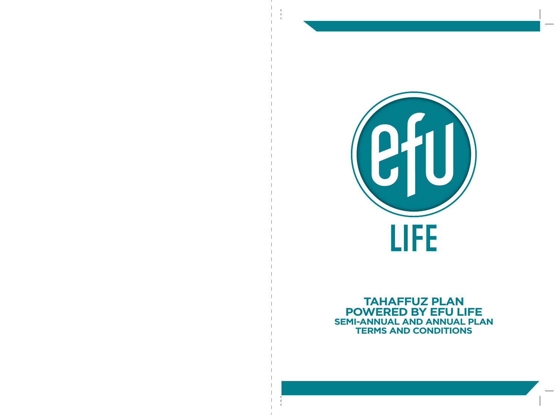

**TAHAFFUZ PLAN POWERED BY EFU LIFE SEMI-ANNUAL AND ANNUAL PLAN TERMS AND CONDITIONS**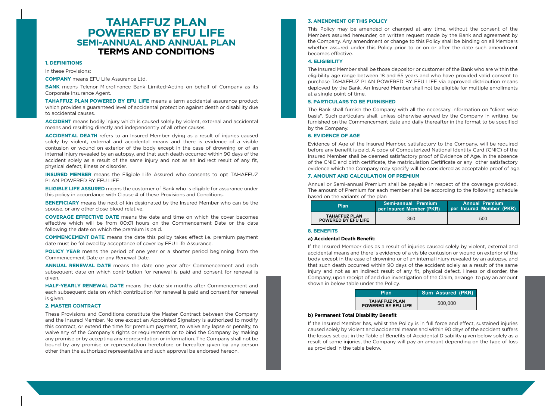# **TAHAFFUZ PLAN POWERED BY EFU LIFE SEMI-ANNUAL AND ANNUAL PLAN TERMS AND CONDITIONS**

# **1. DEFINITIONS**

In these Provisions:

**COMPANY** means EFU Life Assurance Ltd.

**BANK** means Telenor Microfinance Bank Limited-Acting on behalf of Company as its Corporate Insurance Agent.

**TAHAFFUZ PLAN POWERED BY EFU LIFE** means a term accidental assurance product which provides a guaranteed level of accidental protection against death or disability due to accidental causes.

**ACCIDENT** means bodily injury which is caused solely by violent, external and accidental means and resulting directly and independently of all other causes.

**ACCIDENTAL DEATH** refers to an Insured Member dying as a result of injuries caused solely by violent, external and accidental means and there is evidence of a visible contusion or wound on exterior of the body except in the case of drowning or of an internal injury revealed by an autopsy, and that such death occurred within 90 days of the accident solely as a result of the same injury and not as an indirect result of any fit, physical defect, illness or disorder.

**INSURED MEMBER** means the Eligible Life Assured who consents to opt TAHAFFUZ PLAN POWERED BY EFU LIFE

**ELIGIBLE LIFE ASSURED** means the customer of Bank who is eligible for assurance under this policy in accordance with Clause 4 of these Provisions and Conditions.

**BENEFICIARY** means the next of kin designated by the Insured Member who can be the spouse, or any other close blood relative.

**COVERAGE EFFECTIVE DATE** means the date and time on which the cover becomes effective which will be from 00:01 hours on the Commencement Date or the date following the date on which the premium is paid.

**COMMENCEMENT DATE** means the date this policy takes effect i.e. premium payment date must be followed by acceptance of cover by EFU Life Assurance.

**POLICY YEAR** means the period of one year or a shorter period beginning from the Commencement Date or any Renewal Date.

**ANNUAL RENEWAL DATE** means the date one year after Commencement and each subsequent date on which contribution for renewal is paid and consent for renewal is given.

**HALF-YEARLY RENEWAL DATE** means the date six months after Commencement and each subsequent date on which contribution for renewal is paid and consent for renewal is given.

# **2. MASTER CONTRACT**

These Provisions and Conditions constitute the Master Contract between the Company and the Insured Member. No one except an Appointed Signatory is authorized to modify this contract, or extend the time for premium payment, to waive any lapse or penalty, to waive any of the Company's rights or requirements or to bind the Company by making any promise or by accepting any representation or information. The Company shall not be bound by any promise or representation heretofore or hereafter given by any person other than the authorized representative and such approval be endorsed hereon.

# **3. AMENDMENT OF THIS POLICY**

This Policy may be amended or changed at any time, without the consent of the Members assured hereunder, on written request made by the Bank and agreement by the Company. Any amendment or change to this Policy shall be binding on all Members whether assured under this Policy prior to or on or after the date such amendment becomes effective.

# **4. ELIGIBILITY**

The Insured Member shall be those depositor or customer of the Bank who are within the eligibility age range between 18 and 65 years and who have provided valid consent to purchase TAHAFFUZ PLAN POWERED BY EFU LIFE via approved distribution means deployed by the Bank. An Insured Member shall not be eligible for multiple enrollments at a single point of time.

## **5. PARTICULARS TO BE FURNISHED**

The Bank shall furnish the Company with all the necessary information on "client wise basis". Such particulars shall, unless otherwise agreed by the Company in writing, be furnished on the Commencement date and daily thereafter in the format to be specified by the Company.

# **6. EVIDENCE OF AGE**

Evidence of Age of the Insured Member, satisfactory to the Company, will be required before any benefit is paid. A copy of Computerized National Identity Card (CNIC) of the Insured Member shall be deemed satisfactory proof of Evidence of Age. In the absence of the CNIC and birth certificate, the matriculation Certificate or any other satisfactory evidence which the Company may specify will be considered as acceptable proof of age.

# **7. AMOUNT AND CALCULATION OF PREMIUM**

Annual or Semi-annual Premium shall be payable in respect of the coverage provided. The amount of Premium for each member shall be according to the following schedule based on the variants of the plan

| Plan                                               | Semi-annual Premium<br>per Insured Member (PKR) | <b>Annual Premium</b><br>per Insured Member (PKR) |
|----------------------------------------------------|-------------------------------------------------|---------------------------------------------------|
| <b>TAHAFFUZ PLAN</b><br><b>POWERED BY EFU LIFE</b> | 350                                             | 500                                               |

## **8. BENEFITS**

#### **a) Accidental Death Benefit:**

If the Insured Member dies as a result of injuries caused solely by violent, external and accidental means and there is evidence of a visible contusion or wound on exterior of the body except in the case of drowning or of an internal injury revealed by an autopsy, and that such death occurred within 90 days of the accident solely as a result of the same injury and not as an indirect result of any fit, physical defect, illness or disorder, the Company, upon receipt of and due investigation of the Claim, arrange to pay an amount shown in below table under the Policy.

| <b>Plan</b>                                        | <b>Sum Assured (PKR)</b> |
|----------------------------------------------------|--------------------------|
| <b>TAHAFFUZ PLAN</b><br><b>POWERED BY EFU LIFE</b> | 500,000                  |

### **b) Permanent Total Disability Benefit**

If the Insured Member has, whilst the Policy is in full force and effect, sustained injuries caused solely by violent and accidental means and within 90 days of the accident suffers the losses set out in the Table of Benefits of Accidental Disability given below solely as a result of same injuries, the Company will pay an amount depending on the type of loss as provided in the table below.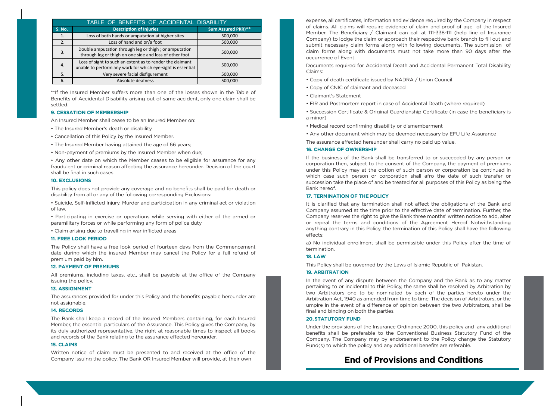| TABLE OF BENEFITS OF ACCIDENTAL DISABILITY |                                                                                                                          |                           |
|--------------------------------------------|--------------------------------------------------------------------------------------------------------------------------|---------------------------|
| <b>S. No.</b>                              | <b>Description of Injuries</b>                                                                                           | <b>Sum Assured PKR)**</b> |
|                                            | Loss of both hands or amputation at higher sites                                                                         | 500,000                   |
| 2.                                         | Loss of hand and or/a foot                                                                                               | 500,000                   |
| 3.                                         | Double amputation through leg or thigh; or amputation<br>through leg or thigh on one side and loss of other foot         | 500,000                   |
| 4.                                         | Loss of sight to such an extent as to render the claimant<br>unable to perform any work for which eye-sight is essential | 500,000                   |
| 5.                                         | Very severe facial disfigurement                                                                                         | 500,000                   |
| 6.                                         | Absolute deafness                                                                                                        | 500,000                   |

\*\*If the Insured Member suffers more than one of the losses shown in the Table of Benefits of Accidental Disability arising out of same accident, only one claim shall be settled.

## **9. CESSATION OF MEMBERSHIP**

An Insured Member shall cease to be an Insured Member on:

- The Insured Member's death or disability.
- Cancellation of this Policy by the Insured Member.
- The Insured Member having attained the age of 66 years;
- Non-payment of premiums by the Insured Member when due;

• Any other date on which the Member ceases to be eligible for assurance for any fraudulent or criminal reason affecting the assurance hereunder. Decision of the court shall be final in such cases.

## **10. EXCLUSIONS**

This policy does not provide any coverage and no benefits shall be paid for death or disability from all or any of the following corresponding Exclusions:

- Suicide, Self-Inflicted Injury, Murder and participation in any criminal act or violation of law.
- Participating in exercise or operations while serving with either of the armed or paramilitary forces or while performing any form of police duty

• Claim arising due to travelling in war inflicted areas

#### **11. FREE LOOK PERIOD**

The Policy shall have a free look period of fourteen days from the Commencement date during which the insured Member may cancel the Policy for a full refund of premium paid by him.

## **12. PAYMENT OF PREMIUMS**

All premiums, including taxes, etc., shall be payable at the office of the Company issuing the policy.

#### **13. ASSIGNMENT**

The assurances provided for under this Policy and the benefits payable hereunder are not assignable.

## **14. RECORDS**

The Bank shall keep a record of the Insured Members containing, for each Insured Member, the essential particulars of the Assurance. This Policy gives the Company, by its duly authorized representative, the right at reasonable times to inspect all books and records of the Bank relating to the assurance effected hereunder.

## **15. CLAIMS**

Written notice of claim must be presented to and received at the office of the Company issuing the policy. The Bank OR Insured Member will provide, at their own

expense, all certificates, information and evidence required by the Company in respect of claims. All claims will require evidence of claim and proof of age of the Insured Member. The Beneficiary / Claimant can call at 111-338-111 (help line of Insurance Company) to lodge the claim or approach their respective bank branch to fill out and submit necessary claim forms along with following documents. The submission of claim forms along with documents must not take more than 90 days after the occurrence of Event.

Documents required for Accidental Death and Accidental Permanent Total Disability Claims:

- Copy of death certificate issued by NADRA / Union Council
- Copy of CNIC of claimant and deceased
- Claimant's Statement
- FIR and Postmortem report in case of Accidental Death (where required)
- Succession Certificate & Original Guardianship Certificate (in case the beneficiary is a minor)
- Medical record confirming disability or dismemberment
- Any other document which may be deemed necessary by EFU Life Assurance
- The assurance effected hereunder shall carry no paid up value.

# **16. CHANGE OF OWNERSHIP**

If the business of the Bank shall be transferred to or succeeded by any person or corporation then, subject to the consent of the Company, the payment of premiums under this Policy may at the option of such person or corporation be continued in which case such person or corporation shall afro the date of such transfer or succession take the place of and be treated for all purposes of this Policy as being the Bank hereof.

### **17. TERMINATION OF THE POLICY**

It is clarified that any termination shall not affect the obligations of the Bank and Company assumed at the time prior to the effective date of termination. Further, the Company reserves the right to give the Bank three months' written notice to add, alter or repeal the terms and conditions of the Agreement Hereof Notwithstanding anything contrary in this Policy, the termination of this Policy shall have the following effects:

a) No individual enrollment shall be permissible under this Policy after the time of termination.

# **18. LAW**

This Policy shall be governed by the Laws of Islamic Republic of Pakistan.

# **19. ARBITRATION**

In the event of any dispute between the Company and the Bank as to any matter pertaining to or incidental to this Policy, the same shall be resolved by Arbitration by two Arbitrators one to be nominated by each of the parties hereto under the Arbitration Act, 1940 as amended from time to time. The decision of Arbitrators, or the umpire in the event of a difference of opinion between the two Arbitrators, shall be final and binding on both the parties.

# **20. STATUTORY FUND**

Under the provisions of the Insurance Ordinance 2000, this policy and any additional benefits shall be preferable to the Conventional Business Statutory Fund of the Company. The Company may by endorsement to the Policy change the Statutory Fund(s) to which the policy and any additional benefits are referable.

# **End of Provisions and Conditions**